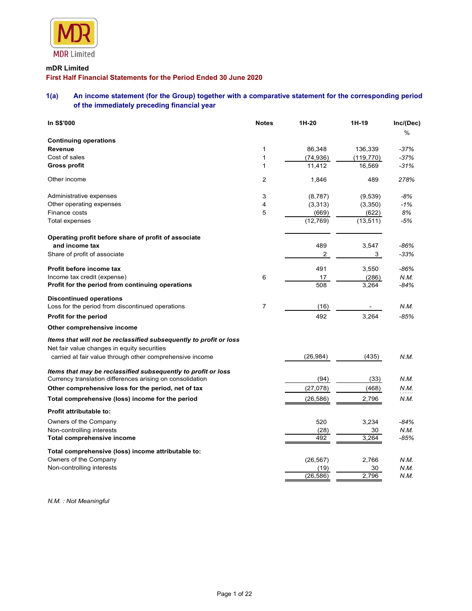

# mDR Limited

# First Half Financial Statements for the Period Ended 30 June 2020

# 1(a) An income statement (for the Group) together with a comparative statement for the corresponding period of the immediately preceding financial year

| <b>MDR</b> Limited                                                                                               |                |                       |             |                  |
|------------------------------------------------------------------------------------------------------------------|----------------|-----------------------|-------------|------------------|
| mDR Limited<br>First Half Financial Statements for the Period Ended 30 June 2020                                 |                |                       |             |                  |
| An income statement (for the Group) together with a comparative statement for the corresponding period<br>1(a)   |                |                       |             |                  |
| of the immediately preceding financial year                                                                      |                |                       |             |                  |
| In S\$'000                                                                                                       | <b>Notes</b>   | 1H-20                 | 1H-19       | Inc/(Dec)        |
|                                                                                                                  |                |                       |             | %                |
| <b>Continuing operations</b><br>Revenue                                                                          | $\mathbf{1}$   | 86,348                | 136,339     | $-37%$           |
| Cost of sales                                                                                                    | $\mathbf{1}$   | (74, 936)             | (119, 770)  | $-37%$           |
| <b>Gross profit</b>                                                                                              | $\mathbf{1}$   | 11,412                | 16,569      | $-31%$           |
| Other income                                                                                                     | $\overline{2}$ | 1,846                 | 489         | 278%             |
| Administrative expenses                                                                                          | 3              | (8,787)               | (9,539)     | -8%              |
| Other operating expenses                                                                                         | 4              | (3,313)               | (3,350)     | $-1%$            |
| Finance costs                                                                                                    | 5              | (669)                 | (622)       | 8%               |
| Total expenses                                                                                                   |                | (12, 769)             | (13, 511)   | $-5%$            |
| Operating profit before share of profit of associate                                                             |                |                       |             |                  |
| and income tax<br>Share of profit of associate                                                                   |                | 489<br>$\overline{2}$ | 3,547<br>3  | $-86%$<br>$-33%$ |
|                                                                                                                  |                |                       |             |                  |
| Profit before income tax                                                                                         |                | 491                   | 3,550       | -86%             |
| Income tax credit (expense)                                                                                      | 6              | 17<br>508             | (286)       | N.M.             |
| Profit for the period from continuing operations                                                                 |                |                       | 3,264       | $-84%$           |
| <b>Discontinued operations</b><br>Loss for the period from discontinued operations                               | $\overline{7}$ |                       |             | N.M.             |
|                                                                                                                  |                | (16)<br>492           | $\sim$      |                  |
| Profit for the period                                                                                            |                |                       | 3,264       | $-85%$           |
| Other comprehensive income                                                                                       |                |                       |             |                  |
| Items that will not be reclassified subsequently to profit or loss                                               |                |                       |             |                  |
| Net fair value changes in equity securities<br>carried at fair value through other comprehensive income          |                | (26, 984)             | (435)       | N.M.             |
|                                                                                                                  |                |                       |             |                  |
| Items that may be reclassified subsequently to profit or loss                                                    |                |                       |             |                  |
| Currency translation differences arising on consolidation<br>Other comprehensive loss for the period, net of tax |                | (94)                  | (33)        | N.M.             |
|                                                                                                                  |                | (27,078)              | (468)       | N.M.<br>         |
| Total comprehensive (loss) income for the period                                                                 |                | (26, 586)             | 2,796       | N.M.             |
| Profit attributable to:                                                                                          |                |                       |             |                  |
| Owners of the Company                                                                                            |                | 520                   | 3,234       | $-84%$           |
| Non-controlling interests<br>Total comprehensive income                                                          |                | (28)<br>492           | 30<br>3,264 | N.M.<br>-85%     |
|                                                                                                                  |                |                       |             |                  |
| Total comprehensive (loss) income attributable to:                                                               |                |                       |             |                  |
| Owners of the Company                                                                                            |                | (26, 567)             | 2,766       | N.M.             |
| Non-controlling interests                                                                                        |                | (19)                  | 30          | N.M.             |

N.M. : Not Meaningful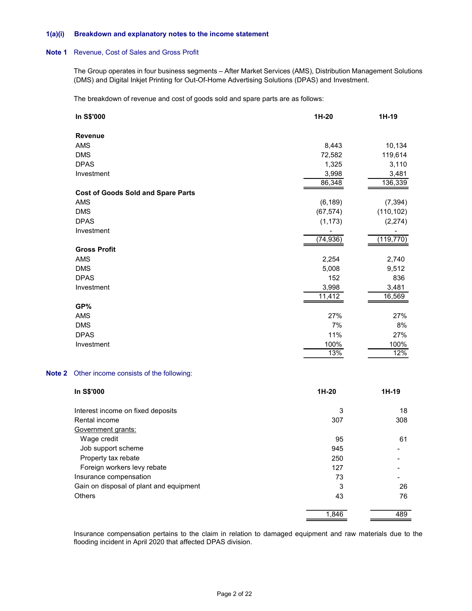#### 1(a)(i) Breakdown and explanatory notes to the income statement

### Note 1 Revenue, Cost of Sales and Gross Profit

| Breakdown and explanatory notes to the income statement                                                                                                                                                         |           |            |
|-----------------------------------------------------------------------------------------------------------------------------------------------------------------------------------------------------------------|-----------|------------|
| Revenue, Cost of Sales and Gross Profit                                                                                                                                                                         |           |            |
| The Group operates in four business segments - After Market Services (AMS), Distribution Management Solutions<br>(DMS) and Digital Inkjet Printing for Out-Of-Home Advertising Solutions (DPAS) and Investment. |           |            |
| The breakdown of revenue and cost of goods sold and spare parts are as follows:                                                                                                                                 |           |            |
| In S\$'000                                                                                                                                                                                                      | 1H-20     | $1H-19$    |
| Revenue                                                                                                                                                                                                         |           |            |
| AMS                                                                                                                                                                                                             | 8,443     | 10,134     |
| <b>DMS</b>                                                                                                                                                                                                      | 72,582    | 119,614    |
| <b>DPAS</b>                                                                                                                                                                                                     | 1,325     | 3,110      |
| Investment                                                                                                                                                                                                      | 3,998     | 3,481      |
|                                                                                                                                                                                                                 | 86,348    | 136,339    |
| <b>Cost of Goods Sold and Spare Parts</b>                                                                                                                                                                       |           |            |
| AMS                                                                                                                                                                                                             | (6, 189)  | (7, 394)   |
| <b>DMS</b>                                                                                                                                                                                                      | (67, 574) | (110, 102) |
| <b>DPAS</b>                                                                                                                                                                                                     | (1, 173)  |            |
|                                                                                                                                                                                                                 |           | (2, 274)   |
| Investment                                                                                                                                                                                                      |           | (119, 770) |
|                                                                                                                                                                                                                 | (74, 936) |            |
| <b>Gross Profit</b>                                                                                                                                                                                             |           |            |
| AMS                                                                                                                                                                                                             | 2,254     | 2,740      |
| <b>DMS</b>                                                                                                                                                                                                      | 5,008     | 9,512      |
| <b>DPAS</b>                                                                                                                                                                                                     | 152       | 836        |
| Investment                                                                                                                                                                                                      | 3,998     | 3,481      |
|                                                                                                                                                                                                                 | 11,412    | 16,569     |
| GP%                                                                                                                                                                                                             |           |            |
| AMS                                                                                                                                                                                                             | 27%       | 27%        |
| <b>DMS</b>                                                                                                                                                                                                      | 7%        | 8%         |
| <b>DPAS</b>                                                                                                                                                                                                     | 11%       | 27%        |
| Investment                                                                                                                                                                                                      | 100%      | 100%       |
|                                                                                                                                                                                                                 | 13%       | 12%        |
| Other income consists of the following:                                                                                                                                                                         |           |            |
| In S\$'000                                                                                                                                                                                                      | $1H-20$   | $1H-19$    |
| Interest income on fixed deposits                                                                                                                                                                               | 3         | 18         |
| Rental income                                                                                                                                                                                                   | 307       | 308        |
| Government grants:                                                                                                                                                                                              |           |            |
| Wage credit                                                                                                                                                                                                     | 95        | 61         |
| Job support scheme                                                                                                                                                                                              | 945       |            |
| Property tax rebate                                                                                                                                                                                             | 250       |            |
|                                                                                                                                                                                                                 |           |            |

#### Note 2 Other income consists of the following:

| In S\$'000                              | 1H-20 | $1H-19$                  |  |
|-----------------------------------------|-------|--------------------------|--|
| Interest income on fixed deposits       | 3     | 18                       |  |
| Rental income                           | 307   | 308                      |  |
| Government grants:                      |       |                          |  |
| Wage credit                             | 95    | 61                       |  |
| Job support scheme                      | 945   | $\overline{\phantom{0}}$ |  |
| Property tax rebate                     | 250   |                          |  |
| Foreign workers levy rebate             | 127   | ۰                        |  |
| Insurance compensation                  | 73    | $\overline{\phantom{0}}$ |  |
| Gain on disposal of plant and equipment | 3     | 26                       |  |
| <b>Others</b>                           | 43    | 76                       |  |
|                                         | 1,846 | 489                      |  |

 Insurance compensation pertains to the claim in relation to damaged equipment and raw materials due to the flooding incident in April 2020 that affected DPAS division.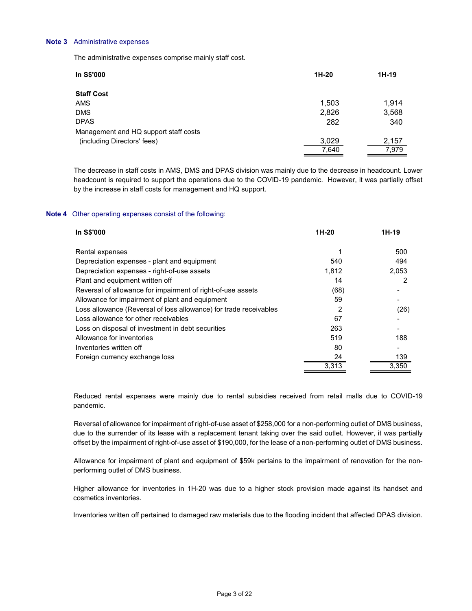#### Note 3 Administrative expenses

| Administrative expenses                                                                                                                                                                                                                                                                         |              |               |
|-------------------------------------------------------------------------------------------------------------------------------------------------------------------------------------------------------------------------------------------------------------------------------------------------|--------------|---------------|
| The administrative expenses comprise mainly staff cost.                                                                                                                                                                                                                                         |              |               |
| In S\$'000                                                                                                                                                                                                                                                                                      | 1H-20        | 1H-19         |
| <b>Staff Cost</b>                                                                                                                                                                                                                                                                               |              |               |
| AMS                                                                                                                                                                                                                                                                                             | 1,503        | 1,914         |
| <b>DMS</b>                                                                                                                                                                                                                                                                                      | 2,826        | 3,568         |
| <b>DPAS</b><br>Management and HQ support staff costs                                                                                                                                                                                                                                            | 282          | 340           |
| (including Directors' fees)                                                                                                                                                                                                                                                                     | 3,029        | 2,157         |
|                                                                                                                                                                                                                                                                                                 | 7,640        | 7,979         |
| The decrease in staff costs in AMS, DMS and DPAS division was mainly due to the decrease in headcount. Lower<br>headcount is required to support the operations due to the COVID-19 pandemic. However, it was partially offset<br>by the increase in staff costs for management and HQ support. |              |               |
| Other operating expenses consist of the following:                                                                                                                                                                                                                                              |              |               |
| In S\$'000                                                                                                                                                                                                                                                                                      | 1H-20        | $1H-19$       |
| Rental expenses                                                                                                                                                                                                                                                                                 | $\mathbf{1}$ | 500           |
| Depreciation expenses - plant and equipment                                                                                                                                                                                                                                                     | 540          | 494           |
| Depreciation expenses - right-of-use assets                                                                                                                                                                                                                                                     | 1,812        | 2,053         |
| Plant and equipment written off                                                                                                                                                                                                                                                                 | 14           | $\mathcal{P}$ |

#### Note 4 Other operating expenses consist of the following:

| <b>Staff Cost</b>                                                                                                                                                                                                                                                                               |                |                |
|-------------------------------------------------------------------------------------------------------------------------------------------------------------------------------------------------------------------------------------------------------------------------------------------------|----------------|----------------|
| AMS                                                                                                                                                                                                                                                                                             | 1,503          | 1,914          |
| <b>DMS</b>                                                                                                                                                                                                                                                                                      | 2,826          | 3,568          |
| <b>DPAS</b>                                                                                                                                                                                                                                                                                     | 282            | 340            |
| Management and HQ support staff costs                                                                                                                                                                                                                                                           |                |                |
| (including Directors' fees)                                                                                                                                                                                                                                                                     | 3,029<br>7,640 | 2,157<br>7,979 |
| The decrease in staff costs in AMS, DMS and DPAS division was mainly due to the decrease in headcount. Lower<br>headcount is required to support the operations due to the COVID-19 pandemic. However, it was partially offset<br>by the increase in staff costs for management and HQ support. |                |                |
| Other operating expenses consist of the following:                                                                                                                                                                                                                                              |                |                |
| In S\$'000                                                                                                                                                                                                                                                                                      | 1H-20          | 1H-19          |
| Rental expenses                                                                                                                                                                                                                                                                                 |                | 500            |
| Depreciation expenses - plant and equipment                                                                                                                                                                                                                                                     | 540            | 494            |
| Depreciation expenses - right-of-use assets                                                                                                                                                                                                                                                     | 1,812          | 2,053          |
| Plant and equipment written off                                                                                                                                                                                                                                                                 | 14             | 2              |
| Reversal of allowance for impairment of right-of-use assets                                                                                                                                                                                                                                     | (68)           |                |
| Allowance for impairment of plant and equipment                                                                                                                                                                                                                                                 | 59             |                |
| Loss allowance (Reversal of loss allowance) for trade receivables                                                                                                                                                                                                                               | 2              | (26)           |
|                                                                                                                                                                                                                                                                                                 |                |                |
| Loss allowance for other receivables                                                                                                                                                                                                                                                            | 67             |                |
| Loss on disposal of investment in debt securities                                                                                                                                                                                                                                               | 263            |                |
| Allowance for inventories                                                                                                                                                                                                                                                                       | 519            | 188            |
| Inventories written off                                                                                                                                                                                                                                                                         | 80             |                |
| Foreign currency exchange loss                                                                                                                                                                                                                                                                  | 24             | 139            |

Reduced rental expenses were mainly due to rental subsidies received from retail malls due to COVID-19 pandemic.

Reversal of allowance for impairment of right-of-use asset of \$258,000 for a non-performing outlet of DMS business, due to the surrender of its lease with a replacement tenant taking over the said outlet. However, it was partially offset by the impairment of right-of-use asset of \$190,000, for the lease of a non-performing outlet of DMS business.

Allowance for impairment of plant and equipment of \$59k pertains to the impairment of renovation for the nonperforming outlet of DMS business.

Higher allowance for inventories in 1H-20 was due to a higher stock provision made against its handset and cosmetics inventories.

Inventories written off pertained to damaged raw materials due to the flooding incident that affected DPAS division.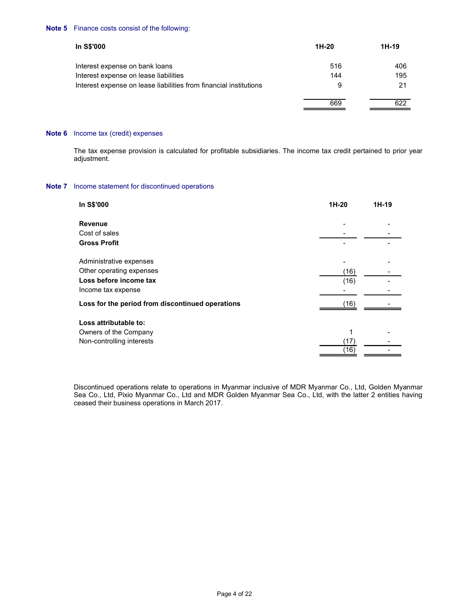#### Note 5 Finance costs consist of the following:

| Finance costs consist of the following:                                                                                           |                          |         |  |
|-----------------------------------------------------------------------------------------------------------------------------------|--------------------------|---------|--|
| In S\$'000                                                                                                                        | $1H-20$                  | $1H-19$ |  |
| Interest expense on bank loans                                                                                                    | 516                      | 406     |  |
| Interest expense on lease liabilities                                                                                             | 144                      | 195     |  |
| Interest expense on lease liabilities from financial institutions                                                                 | 9                        | 21      |  |
|                                                                                                                                   | 669                      | 622     |  |
| Income tax (credit) expenses                                                                                                      |                          |         |  |
|                                                                                                                                   |                          |         |  |
| The tax expense provision is calculated for profitable subsidiaries. The income tax credit pertained to prior year<br>adjustment. |                          |         |  |
| Income statement for discontinued operations                                                                                      |                          |         |  |
| In S\$'000                                                                                                                        | $1H-20$                  | $1H-19$ |  |
| Revenue                                                                                                                           | $\overline{\phantom{a}}$ |         |  |
| Cost of sales<br><b>Gross Profit</b>                                                                                              |                          |         |  |

#### Note 6 Income tax (credit) expenses

## Note 7 Income statement for discontinued operations

| ncome statement for discontinued operations      |              |       |
|--------------------------------------------------|--------------|-------|
| In S\$'000                                       | 1H-20        | 1H-19 |
| Revenue                                          |              |       |
| Cost of sales                                    |              |       |
| <b>Gross Profit</b>                              |              |       |
| Administrative expenses                          |              |       |
| Other operating expenses                         | (16)         |       |
| Loss before income tax                           | (16)         |       |
| Income tax expense                               |              |       |
| Loss for the period from discontinued operations | (16)         |       |
| Loss attributable to:                            |              |       |
| Owners of the Company                            |              |       |
| Non-controlling interests                        | (17)<br>(16) |       |
|                                                  |              |       |

 Discontinued operations relate to operations in Myanmar inclusive of MDR Myanmar Co., Ltd, Golden Myanmar Sea Co., Ltd, Pixio Myanmar Co., Ltd and MDR Golden Myanmar Sea Co., Ltd, with the latter 2 entities having ceased their business operations in March 2017.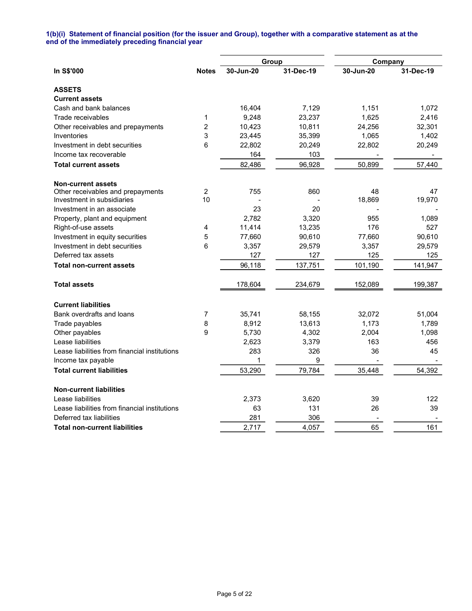#### 1(b)(i) Statement of financial position (for the issuer and Group), together with a comparative statement as at the end of the immediately preceding financial year

|                                               |                |           | Group     | Company   |           |
|-----------------------------------------------|----------------|-----------|-----------|-----------|-----------|
| In S\$'000                                    | <b>Notes</b>   | 30-Jun-20 | 31-Dec-19 | 30-Jun-20 | 31-Dec-19 |
| <b>ASSETS</b>                                 |                |           |           |           |           |
| <b>Current assets</b>                         |                |           |           |           |           |
| Cash and bank balances                        |                | 16,404    | 7,129     | 1,151     | 1,072     |
| Trade receivables                             | $\mathbf{1}$   | 9,248     | 23,237    | 1,625     | 2,416     |
| Other receivables and prepayments             | $\overline{c}$ | 10,423    | 10,811    | 24,256    | 32,301    |
| Inventories                                   | 3              | 23,445    | 35,399    | 1,065     | 1,402     |
| Investment in debt securities                 | 6              | 22,802    | 20,249    | 22,802    | 20,249    |
| Income tax recoverable                        |                | 164       | 103       |           |           |
| <b>Total current assets</b>                   |                | 82,486    | 96,928    | 50,899    | 57,440    |
| <b>Non-current assets</b>                     |                |           |           |           |           |
| Other receivables and prepayments             | $\overline{c}$ | 755       | 860       | 48        | 47        |
| Investment in subsidiaries                    | 10             |           |           | 18,869    | 19,970    |
| Investment in an associate                    |                | 23        | 20        |           |           |
| Property, plant and equipment                 |                | 2,782     | 3,320     | 955       | 1,089     |
| Right-of-use assets                           | 4              | 11,414    | 13,235    | 176       | 527       |
| Investment in equity securities               | 5              | 77,660    | 90,610    | 77,660    | 90,610    |
| Investment in debt securities                 | 6              | 3,357     | 29,579    | 3,357     | 29,579    |
| Deferred tax assets                           |                | 127       | 127       | 125       | 125       |
| <b>Total non-current assets</b>               |                | 96,118    | 137,751   | 101,190   | 141,947   |
| <b>Total assets</b>                           |                | 178,604   | 234,679   | 152,089   | 199,387   |
| <b>Current liabilities</b>                    |                |           |           |           |           |
| Bank overdrafts and loans                     | 7              | 35,741    | 58,155    | 32,072    | 51,004    |
| Trade payables                                | 8              | 8,912     | 13,613    | 1,173     | 1,789     |
| Other payables                                | 9              | 5,730     | 4,302     | 2,004     | 1,098     |
| Lease liabilities                             |                | 2,623     | 3,379     | 163       | 456       |
| Lease liabilities from financial institutions |                | 283       | 326       | 36        | 45        |
| Income tax payable                            |                | 1         | 9         |           |           |
| <b>Total current liabilities</b>              |                | 53,290    | 79,784    | 35,448    | 54,392    |
| <b>Non-current liabilities</b>                |                |           |           |           |           |
| Lease liabilities                             |                | 2,373     | 3,620     | 39        | 122       |
| Lease liabilities from financial institutions |                | 63        | 131       | 26        | 39        |
| Deferred tax liabilities                      |                | 281       | 306       |           |           |
| <b>Total non-current liabilities</b>          |                | 2,717     | 4,057     | 65        | 161       |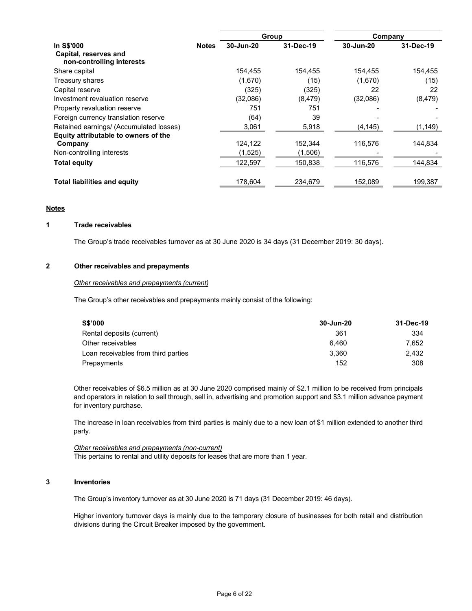|                                                                  |              |           | Group     | Company   |           |
|------------------------------------------------------------------|--------------|-----------|-----------|-----------|-----------|
| In S\$'000<br>Capital, reserves and<br>non-controlling interests | <b>Notes</b> | 30-Jun-20 | 31-Dec-19 | 30-Jun-20 | 31-Dec-19 |
| Share capital                                                    |              | 154,455   | 154,455   | 154,455   | 154,455   |
| Treasury shares                                                  |              | (1,670)   | (15)      | (1,670)   | (15)      |
| Capital reserve                                                  |              | (325)     | (325)     | 22        | 22        |
| Investment revaluation reserve                                   |              | (32,086)  | (8, 479)  | (32,086)  | (8, 479)  |
| Property revaluation reserve                                     |              | 751       | 751       |           |           |
| Foreign currency translation reserve                             |              | (64)      | 39        |           |           |
| Retained earnings/ (Accumulated losses)                          |              | 3,061     | 5,918     | (4, 145)  | (1, 149)  |
| Equity attributable to owners of the                             |              |           |           |           |           |
| Company                                                          |              | 124,122   | 152,344   | 116,576   | 144,834   |
| Non-controlling interests                                        |              | (1,525)   | (1,506)   |           |           |
| <b>Total equity</b>                                              |              | 122,597   | 150.838   | 116,576   | 144.834   |
| <b>Total liabilities and equity</b>                              |              | 178,604   | 234,679   | 152,089   | 199,387   |

## **Notes**

# 1 Trade receivables

The Group's trade receivables turnover as at 30 June 2020 is 34 days (31 December 2019: 30 days).

### 2 Other receivables and prepayments

#### Other receivables and prepayments (current)

The Group's other receivables and prepayments mainly consist of the following:

| <b>S\$'000</b>                      | 30-Jun-20 | 31-Dec-19 |
|-------------------------------------|-----------|-----------|
| Rental deposits (current)           | 361       | 334       |
| Other receivables                   | 6.460     | 7.652     |
| Loan receivables from third parties | 3.360     | 2.432     |
| Prepayments                         | 152       | 308       |

Other receivables of \$6.5 million as at 30 June 2020 comprised mainly of \$2.1 million to be received from principals and operators in relation to sell through, sell in, advertising and promotion support and \$3.1 million advance payment for inventory purchase.

 The increase in loan receivables from third parties is mainly due to a new loan of \$1 million extended to another third party.

 Other receivables and prepayments (non-current) This pertains to rental and utility deposits for leases that are more than 1 year.

### 3 Inventories

The Group's inventory turnover as at 30 June 2020 is 71 days (31 December 2019: 46 days).

Higher inventory turnover days is mainly due to the temporary closure of businesses for both retail and distribution divisions during the Circuit Breaker imposed by the government.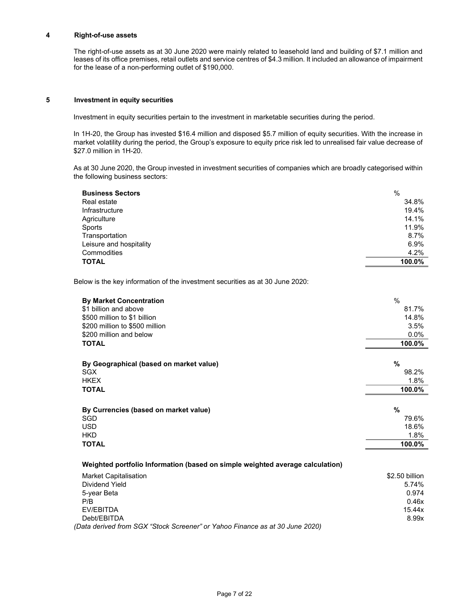### 4 Right-of-use assets

 The right-of-use assets as at 30 June 2020 were mainly related to leasehold land and building of \$7.1 million and leases of its office premises, retail outlets and service centres of \$4.3 million. It included an allowance of impairment for the lease of a non-performing outlet of \$190,000.

#### 5 Investment in equity securities

Investment in equity securities pertain to the investment in marketable securities during the period.

In 1H-20, the Group has invested \$16.4 million and disposed \$5.7 million of equity securities. With the increase in market volatility during the period, the Group's exposure to equity price risk led to unrealised fair value decrease of \$27.0 million in 1H-20.

As at 30 June 2020, the Group invested in investment securities of companies which are broadly categorised within the following business sectors:

| <b>Business Sectors</b> | %      |
|-------------------------|--------|
| Real estate             | 34.8%  |
| Infrastructure          | 19.4%  |
| Agriculture             | 14.1%  |
| Sports                  | 11.9%  |
| Transportation          | 8.7%   |
| Leisure and hospitality | 6.9%   |
| Commodities             | 4.2%   |
| <b>TOTAL</b>            | 100.0% |

Below is the key information of the investment securities as at 30 June 2020:

| <b>By Market Concentration</b>                                                | $\frac{0}{0}$  |
|-------------------------------------------------------------------------------|----------------|
| \$1 billion and above                                                         | 81.7%          |
| \$500 million to \$1 billion                                                  | 14.8%          |
| \$200 million to \$500 million                                                | 3.5%           |
| \$200 million and below                                                       | $0.0\%$        |
| <b>TOTAL</b>                                                                  | 100.0%         |
|                                                                               | %              |
| By Geographical (based on market value)<br><b>SGX</b>                         | 98.2%          |
| <b>HKEX</b>                                                                   | 1.8%           |
| <b>TOTAL</b>                                                                  | 100.0%         |
|                                                                               |                |
| By Currencies (based on market value)                                         | $\frac{9}{6}$  |
| SGD                                                                           | 79.6%          |
| <b>USD</b>                                                                    | 18.6%          |
| <b>HKD</b>                                                                    | 1.8%           |
| <b>TOTAL</b>                                                                  | 100.0%         |
| Weighted portfolio Information (based on simple weighted average calculation) |                |
| <b>Market Capitalisation</b>                                                  | \$2.50 billion |
| Dividend Yield                                                                | 5.74%          |
| 5-year Beta                                                                   | 0.974          |
| P/B                                                                           | 0.46x          |
| EV/EBITDA                                                                     | 15.44x         |
| Debt/EBITDA                                                                   | 8.99x          |
| (Data derived from SGX "Stock Screener" or Yahoo Finance as at 30 June 2020)  |                |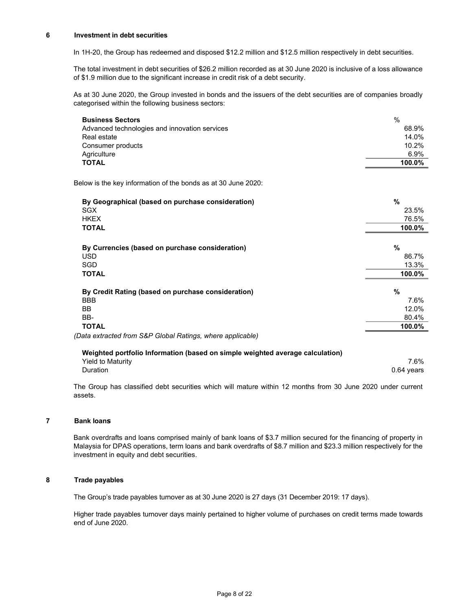#### 6 Investment in debt securities

In 1H-20, the Group has redeemed and disposed \$12.2 million and \$12.5 million respectively in debt securities.

The total investment in debt securities of \$26.2 million recorded as at 30 June 2020 is inclusive of a loss allowance of \$1.9 million due to the significant increase in credit risk of a debt security.

As at 30 June 2020, the Group invested in bonds and the issuers of the debt securities are of companies broadly categorised within the following business sectors:

| <b>Business Sectors</b>                                       | $\frac{0}{0}$ |
|---------------------------------------------------------------|---------------|
| Advanced technologies and innovation services                 | 68.9%         |
| Real estate                                                   | 14.0%         |
| Consumer products                                             | 10.2%         |
| Agriculture                                                   | 6.9%          |
| <b>TOTAL</b>                                                  | 100.0%        |
| Below is the key information of the bonds as at 30 June 2020: |               |
| By Geographical (based on purchase consideration)             | %             |
| SGX                                                           | 23.5%         |
| <b>HKEX</b>                                                   | 76.5%         |
| <b>TOTAL</b>                                                  | 100.0%        |
| By Currencies (based on purchase consideration)               | %             |
| <b>USD</b>                                                    | 86.7%         |
| SGD                                                           | 13.3%         |
| <b>TOTAL</b>                                                  | 100.0%        |
| By Credit Rating (based on purchase consideration)            | %             |
| <b>BBB</b>                                                    | 7.6%          |
| <b>BB</b>                                                     | 12.0%         |
| BB-                                                           | 80.4%         |
| <b>TOTAL</b>                                                  | 100.0%        |
| (Data extracted from S&P Global Ratings, where applicable)    |               |

| Weighted portfolio Information (based on simple weighted average calculation) |            |  |  |  |  |
|-------------------------------------------------------------------------------|------------|--|--|--|--|
| Yield to Maturity                                                             | 7.6%       |  |  |  |  |
| Duration                                                                      | 0.64 vears |  |  |  |  |

The Group has classified debt securities which will mature within 12 months from 30 June 2020 under current assets.

## 7 Bank loans

 Bank overdrafts and loans comprised mainly of bank loans of \$3.7 million secured for the financing of property in Malaysia for DPAS operations, term loans and bank overdrafts of \$8.7 million and \$23.3 million respectively for the investment in equity and debt securities.

# 8 Trade payables

The Group's trade payables turnover as at 30 June 2020 is 27 days (31 December 2019: 17 days).

 Higher trade payables turnover days mainly pertained to higher volume of purchases on credit terms made towards end of June 2020.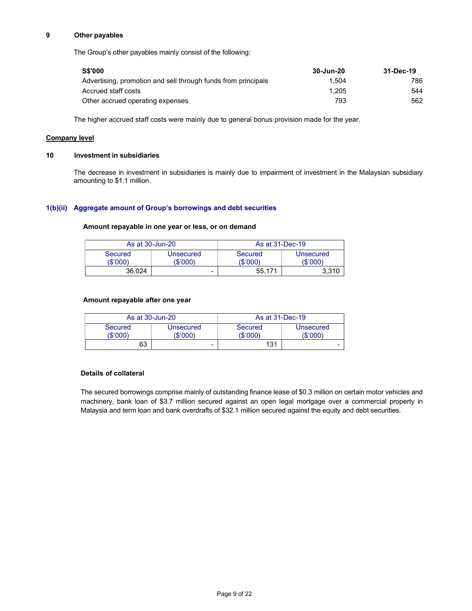### 9 Other payables

The Group's other payables mainly consist of the following:

| <b>S\$'000</b>                                                | 30-Jun-20 | 31-Dec-19 |
|---------------------------------------------------------------|-----------|-----------|
| Advertising, promotion and sell through funds from principals | 1.504     | 786       |
| Accrued staff costs                                           | 1.205     | 544       |
| Other accrued operating expenses                              | 793       | 562       |

The higher accrued staff costs were mainly due to general bonus provision made for the year.

## Company level

### 10 Investment in subsidiaries

 The decrease in investment in subsidiaries is mainly due to impairment of investment in the Malaysian subsidiary amounting to \$1.1 million.

## 1(b)(ii) Aggregate amount of Group's borrowings and debt securities

## Amount repayable in one year or less, or on demand

| As at 30-Jun-20     |                       | As at 31-Dec-19     |                              |
|---------------------|-----------------------|---------------------|------------------------------|
| Secured<br>(\$'000) | Unsecured<br>(\$'000) | Secured<br>(\$'000' | <b>Unsecured</b><br>(\$'000) |
| 36.024              | -                     | 55.171              | 3.310                        |

## Amount repayable after one year

| As at 30-Jun-20     |                       | As at 31-Dec-19     |                       |
|---------------------|-----------------------|---------------------|-----------------------|
| Secured<br>(\$'000) | Unsecured<br>'\$'000) | Secured<br>(\$'000) | Unsecured<br>(\$'000' |
| 63                  | -                     | 131                 |                       |

## Details of collateral

The secured borrowings comprise mainly of outstanding finance lease of \$0.3 million on certain motor vehicles and machinery, bank loan of \$3.7 million secured against an open legal mortgage over a commercial property in Malaysia and term loan and bank overdrafts of \$32.1 million secured against the equity and debt securities.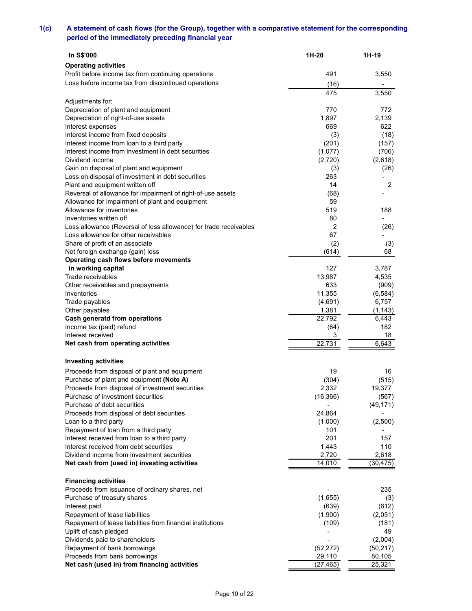# 1(c) A statement of cash flows (for the Group), together with a comparative statement for the corresponding period of the immediately preceding financial year

| A statement of cash flows (for the Group), together with a comparative statement for the corresponding |                                                                                                                                                                                                                       |
|--------------------------------------------------------------------------------------------------------|-----------------------------------------------------------------------------------------------------------------------------------------------------------------------------------------------------------------------|
|                                                                                                        |                                                                                                                                                                                                                       |
|                                                                                                        |                                                                                                                                                                                                                       |
|                                                                                                        |                                                                                                                                                                                                                       |
|                                                                                                        |                                                                                                                                                                                                                       |
|                                                                                                        |                                                                                                                                                                                                                       |
|                                                                                                        |                                                                                                                                                                                                                       |
|                                                                                                        |                                                                                                                                                                                                                       |
|                                                                                                        |                                                                                                                                                                                                                       |
|                                                                                                        |                                                                                                                                                                                                                       |
|                                                                                                        |                                                                                                                                                                                                                       |
|                                                                                                        | 1H-19                                                                                                                                                                                                                 |
|                                                                                                        | 3,550                                                                                                                                                                                                                 |
|                                                                                                        |                                                                                                                                                                                                                       |
| 475                                                                                                    | 3,550                                                                                                                                                                                                                 |
|                                                                                                        | 772                                                                                                                                                                                                                   |
| 1,897                                                                                                  | 2,139                                                                                                                                                                                                                 |
| 669                                                                                                    | 622                                                                                                                                                                                                                   |
|                                                                                                        | (18)                                                                                                                                                                                                                  |
|                                                                                                        | (157)<br>(706)                                                                                                                                                                                                        |
| (2,720)                                                                                                | (2,618)                                                                                                                                                                                                               |
| (3)                                                                                                    | (26)                                                                                                                                                                                                                  |
| 14                                                                                                     | ٠<br>2                                                                                                                                                                                                                |
| (68)                                                                                                   | $\blacksquare$                                                                                                                                                                                                        |
|                                                                                                        | 188                                                                                                                                                                                                                   |
|                                                                                                        |                                                                                                                                                                                                                       |
| 2                                                                                                      | (26)                                                                                                                                                                                                                  |
|                                                                                                        | (3)                                                                                                                                                                                                                   |
| (614)                                                                                                  | 68                                                                                                                                                                                                                    |
|                                                                                                        |                                                                                                                                                                                                                       |
|                                                                                                        | 3,787<br>4,535                                                                                                                                                                                                        |
| 633                                                                                                    | (909)                                                                                                                                                                                                                 |
| 11,355                                                                                                 | (6, 584)                                                                                                                                                                                                              |
|                                                                                                        | 6,757<br>(1, 143)                                                                                                                                                                                                     |
| 22,792                                                                                                 | 6,443                                                                                                                                                                                                                 |
| (64)                                                                                                   | 182                                                                                                                                                                                                                   |
|                                                                                                        | 18<br>6,643                                                                                                                                                                                                           |
|                                                                                                        |                                                                                                                                                                                                                       |
|                                                                                                        |                                                                                                                                                                                                                       |
|                                                                                                        | 16<br>(515)                                                                                                                                                                                                           |
| 2,332                                                                                                  | 19,377                                                                                                                                                                                                                |
| (16, 366)                                                                                              | (567)                                                                                                                                                                                                                 |
|                                                                                                        | (49, 171)                                                                                                                                                                                                             |
| (1,000)                                                                                                | (2,500)                                                                                                                                                                                                               |
| 101                                                                                                    |                                                                                                                                                                                                                       |
| 1,443                                                                                                  | 157<br>110                                                                                                                                                                                                            |
| 2,720                                                                                                  | 2,618                                                                                                                                                                                                                 |
|                                                                                                        | (30, 475)                                                                                                                                                                                                             |
|                                                                                                        |                                                                                                                                                                                                                       |
|                                                                                                        | 235                                                                                                                                                                                                                   |
|                                                                                                        | (3)<br>(612)                                                                                                                                                                                                          |
| (1,900)                                                                                                | (2,051)                                                                                                                                                                                                               |
| (109)                                                                                                  | (181)<br>49                                                                                                                                                                                                           |
|                                                                                                        | (2,004)                                                                                                                                                                                                               |
| (52, 272)                                                                                              | (50, 217)                                                                                                                                                                                                             |
| 29,110                                                                                                 | 80,105                                                                                                                                                                                                                |
| $\sqrt{(27,465)}$                                                                                      | 25,321                                                                                                                                                                                                                |
|                                                                                                        | 1H-20<br>491<br>(16)<br>770<br>(3)<br>(201)<br>(1,077)<br>263<br>59<br>519<br>80<br>67<br>(2)<br>127<br>13,987<br>(4,691)<br>1,381<br>3<br>22,731<br>19<br>(304)<br>24,864<br>201<br>14,010<br>(1,655)<br>(639)<br>ä, |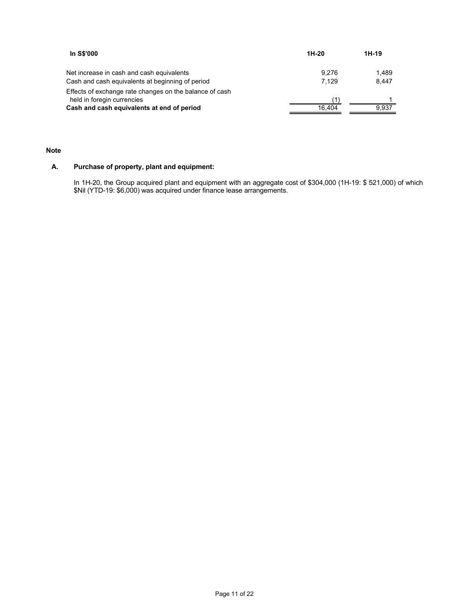| In S\$'000                                                                                    | $1H-20$        | $1H-19$        |  |
|-----------------------------------------------------------------------------------------------|----------------|----------------|--|
|                                                                                               |                |                |  |
| Net increase in cash and cash equivalents<br>Cash and cash equivalents at beginning of period | 9,276<br>7,129 | 1,489<br>8,447 |  |
| Effects of exchange rate changes on the balance of cash                                       |                |                |  |
| held in foregin currencies<br>Cash and cash equivalents at end of period                      | (1)<br>16,404  | 9,937          |  |

### Note

# A. Purchase of property, plant and equipment:

In 1H-20, the Group acquired plant and equipment with an aggregate cost of \$304,000 (1H-19: \$ 521,000) of which \$Nil (YTD-19: \$6,000) was acquired under finance lease arrangements.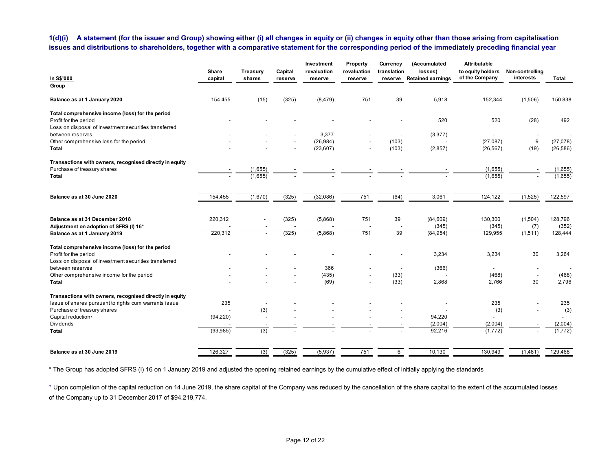## 1(d)(i) A statement (for the issuer and Group) showing either (i) all changes in equity or (ii) changes in equity other than those arising from capitalisation issues and distributions to shareholders, together with a comparative statement for the corresponding period of the immediately preceding financial year

| A statement (for the issuer and Group) showing either (i) all changes in equity or (ii) changes in equity other than those arising from capitalisation   |                                 |                          |                    |                        |                        |                                |                                      |                                     |                              |                       |
|----------------------------------------------------------------------------------------------------------------------------------------------------------|---------------------------------|--------------------------|--------------------|------------------------|------------------------|--------------------------------|--------------------------------------|-------------------------------------|------------------------------|-----------------------|
|                                                                                                                                                          |                                 |                          |                    |                        |                        |                                |                                      |                                     |                              |                       |
|                                                                                                                                                          |                                 |                          |                    |                        |                        |                                |                                      |                                     |                              |                       |
|                                                                                                                                                          |                                 |                          |                    |                        |                        |                                |                                      |                                     |                              |                       |
|                                                                                                                                                          |                                 |                          |                    |                        |                        |                                |                                      |                                     |                              |                       |
| 1(d)(i)                                                                                                                                                  |                                 |                          |                    |                        |                        |                                |                                      |                                     |                              |                       |
| issues and distributions to shareholders, together with a comparative statement for the corresponding period of the immediately preceding financial year |                                 |                          |                    |                        |                        |                                |                                      |                                     |                              |                       |
|                                                                                                                                                          |                                 |                          |                    |                        |                        |                                |                                      |                                     |                              |                       |
|                                                                                                                                                          |                                 |                          |                    | Investment             | Property               | Currency                       | (Accumulated                         | <b>Attributable</b>                 |                              |                       |
| In S\$'000                                                                                                                                               | Share<br>capital                | Treasury<br>shares       | Capital<br>reserve | revaluation<br>reserve | revaluation<br>reserve | translation                    | losses)<br>reserve Retained earnings | to equity holders<br>of the Company | Non-controlling<br>interests | Total                 |
| Group                                                                                                                                                    |                                 |                          |                    |                        |                        |                                |                                      |                                     |                              |                       |
| Balance as at 1 January 2020                                                                                                                             | 154,455                         | (15)                     | (325)              | (8, 479)               | 751                    | 39                             | 5,918                                | 152,344                             | (1,506)                      | 150,838               |
| Total comprehensive income (loss) for the period<br>Profit for the period                                                                                |                                 |                          |                    |                        |                        |                                | 520                                  | 520                                 | (28)                         | 492                   |
| Loss on disposal of investment securities transferred<br>between reserves                                                                                |                                 |                          |                    | 3,377                  |                        | $\overline{\phantom{a}}$       | (3,377)                              | $\sim$                              |                              |                       |
| Other comprehensive loss for the period<br>Total                                                                                                         |                                 |                          |                    | (26, 984)<br>(23, 607) |                        | (103)<br>(103)                 | (2,857)                              | (27, 087)<br>(26, 567)              | - 9<br>(19)                  | (27,078)<br>(26, 586) |
| Transactions with owners, recognised directly in equity                                                                                                  |                                 |                          |                    |                        |                        |                                |                                      |                                     |                              |                       |
| Purchase of treasury shares                                                                                                                              |                                 | (1,655)                  |                    |                        |                        |                                |                                      | (1,655)                             |                              | (1,655)               |
| Total                                                                                                                                                    |                                 | (1,655)                  |                    |                        |                        |                                |                                      | (1,655)                             |                              | (1,655)               |
| Balance as at 30 June 2020                                                                                                                               | 154,455                         | (1,670)                  | (325)              | (32,086)               | 751                    | (64)                           | 3,061                                | 124,122                             | (1,525)                      | 122,597               |
|                                                                                                                                                          |                                 |                          |                    |                        |                        |                                |                                      |                                     |                              |                       |
| Balance as at 31 December 2018<br>Adjustment on adoption of SFRS (I) 16*                                                                                 | 220,312                         |                          | (325)              | (5,868)                | 751                    | 39<br>$\overline{\phantom{a}}$ | (84, 609)<br>(345)                   | 130,300<br>(345)                    | (1,504)<br>(7)               | 128,796<br>(352)      |
| Balance as at 1 January 2019                                                                                                                             | 220,312                         | $\overline{\phantom{a}}$ | (325)              | (5,868)                | 751                    | 39                             | (84, 954)                            | 129,955                             | (1,511)                      | 128,444               |
| Total comprehensive income (loss) for the period                                                                                                         |                                 |                          |                    |                        |                        |                                |                                      |                                     |                              |                       |
| Profit for the period<br>Loss on disposal of investment securities transferred                                                                           | $\overline{\phantom{a}}$        |                          |                    |                        |                        |                                | 3,234                                | 3,234                               | 30                           | 3,264                 |
| between reserves                                                                                                                                         |                                 |                          |                    | 366<br>(435)           |                        | $\overline{\phantom{a}}$       | (366)                                | $\sim$<br>(468)                     |                              | . .                   |
| Other comprehensive income for the period<br>Total                                                                                                       |                                 |                          |                    | (69)                   |                        | (33)<br>(33)                   | 2,868                                | 2,766                               | $\overline{30}$              | (468)<br>2,796        |
| Transactions with owners, recognised directly in equity                                                                                                  |                                 |                          |                    |                        |                        |                                |                                      |                                     |                              |                       |
| Issue of shares pursuant to rights cum warrants issue<br>Purchase of treasury shares                                                                     | 235<br>$\overline{\phantom{a}}$ | (3)                      |                    |                        |                        |                                | $\overline{\phantom{a}}$             | 235<br>(3)                          |                              | 235<br>(3)            |
| Capital reduction+                                                                                                                                       | (94, 220)                       |                          |                    |                        |                        |                                | 94,220                               | $\sim$                              |                              | $\sim$                |
| Dividends<br>Total                                                                                                                                       | (93, 985)                       | (3)                      |                    |                        |                        |                                | (2,004)<br>92,216                    | (2,004)<br>(1,772)                  |                              | (2,004)<br>(1,772)    |
|                                                                                                                                                          |                                 |                          | (325)              | (5,937)                | 751                    |                                |                                      |                                     |                              |                       |
| Balance as at 30 June 2019                                                                                                                               | 126,327                         | (3)                      |                    |                        |                        | 6                              | 10,130                               | 130,949                             | (1,481)                      | 129,468               |

⁺ Upon completion of the capital reduction on 14 June 2019, the share capital of the Company was reduced by the cancellation of the share capital to the extent of the accumulated losses of the Company up to 31 December 2017 of \$94,219,774.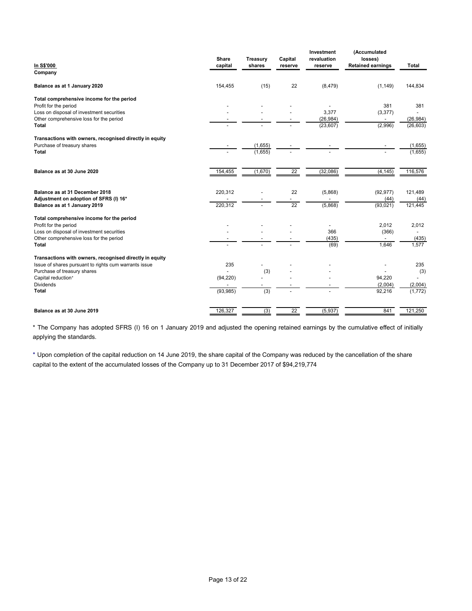|                          |                                                                                                           |                          | Investment                                                                  | (Accumulated                                                                                                                |                                                                                                                                                             |
|--------------------------|-----------------------------------------------------------------------------------------------------------|--------------------------|-----------------------------------------------------------------------------|-----------------------------------------------------------------------------------------------------------------------------|-------------------------------------------------------------------------------------------------------------------------------------------------------------|
| Share                    | <b>Treasury</b>                                                                                           | Capital                  | revaluation                                                                 |                                                                                                                             |                                                                                                                                                             |
|                          |                                                                                                           |                          |                                                                             |                                                                                                                             | Total                                                                                                                                                       |
|                          |                                                                                                           |                          |                                                                             |                                                                                                                             |                                                                                                                                                             |
| 154,455                  | (15)                                                                                                      | 22                       | (8, 479)                                                                    | (1, 149)                                                                                                                    | 144,834                                                                                                                                                     |
|                          |                                                                                                           |                          |                                                                             |                                                                                                                             |                                                                                                                                                             |
|                          |                                                                                                           |                          |                                                                             |                                                                                                                             | 381                                                                                                                                                         |
|                          |                                                                                                           |                          |                                                                             |                                                                                                                             | $\overline{\phantom{a}}$                                                                                                                                    |
|                          |                                                                                                           |                          | (26, 984)                                                                   | $\overline{\phantom{a}}$                                                                                                    | (26, 984)                                                                                                                                                   |
|                          |                                                                                                           |                          |                                                                             |                                                                                                                             | (26, 603)                                                                                                                                                   |
|                          |                                                                                                           |                          |                                                                             |                                                                                                                             |                                                                                                                                                             |
|                          | (1,655)                                                                                                   |                          | $\overline{\phantom{a}}$                                                    |                                                                                                                             | (1,655)                                                                                                                                                     |
|                          | (1,655)                                                                                                   |                          |                                                                             |                                                                                                                             | (1,655)                                                                                                                                                     |
|                          |                                                                                                           |                          |                                                                             |                                                                                                                             |                                                                                                                                                             |
| 154,455                  | (1,670)                                                                                                   | $\overline{22}$          | (32,086)                                                                    | (4, 145)                                                                                                                    | 116,576                                                                                                                                                     |
|                          |                                                                                                           |                          |                                                                             |                                                                                                                             |                                                                                                                                                             |
|                          |                                                                                                           |                          |                                                                             |                                                                                                                             |                                                                                                                                                             |
|                          |                                                                                                           |                          |                                                                             |                                                                                                                             | 121,489<br>(44)                                                                                                                                             |
|                          | $\overline{\phantom{a}}$                                                                                  |                          |                                                                             |                                                                                                                             | 121,445                                                                                                                                                     |
|                          |                                                                                                           |                          |                                                                             |                                                                                                                             |                                                                                                                                                             |
|                          |                                                                                                           |                          |                                                                             |                                                                                                                             |                                                                                                                                                             |
| $\overline{\phantom{a}}$ | $\overline{\phantom{a}}$                                                                                  | $\overline{\phantom{a}}$ | $\overline{\phantom{a}}$                                                    |                                                                                                                             | 2,012                                                                                                                                                       |
|                          |                                                                                                           | $\overline{\phantom{a}}$ |                                                                             | $\overline{\phantom{a}}$                                                                                                    | $\sim$<br>(435)                                                                                                                                             |
| $\overline{\phantom{0}}$ |                                                                                                           | $\overline{\phantom{a}}$ | (69)                                                                        | 1,646                                                                                                                       | 1,577                                                                                                                                                       |
|                          |                                                                                                           |                          |                                                                             |                                                                                                                             |                                                                                                                                                             |
|                          |                                                                                                           |                          |                                                                             |                                                                                                                             |                                                                                                                                                             |
|                          |                                                                                                           |                          |                                                                             | $\overline{\phantom{a}}$                                                                                                    | 235                                                                                                                                                         |
|                          | $\overline{\phantom{0}}$                                                                                  |                          | $\overline{\phantom{a}}$                                                    |                                                                                                                             | (3)<br>$\overline{\phantom{a}}$                                                                                                                             |
| $\overline{\phantom{a}}$ | $\overline{a}$                                                                                            |                          | $\overline{\phantom{a}}$                                                    | (2,004)                                                                                                                     | (2,004)                                                                                                                                                     |
| (93, 985)                | (3)                                                                                                       | $\overline{\phantom{a}}$ | $\blacksquare$                                                              | 92,216                                                                                                                      | (1,772)                                                                                                                                                     |
|                          |                                                                                                           |                          |                                                                             |                                                                                                                             |                                                                                                                                                             |
|                          | (3)                                                                                                       | $\overline{22}$          | (5,937)                                                                     | 841                                                                                                                         | 121,250                                                                                                                                                     |
|                          | capital<br>220,312<br>220,312<br>$\overline{\phantom{a}}$<br>235<br>$\overline{\phantom{a}}$<br>(94, 220) | shares<br>(3)            | reserve<br>22<br>$\overline{\phantom{0}}$<br>22<br>$\overline{\phantom{a}}$ | reserve<br>$\overline{\phantom{a}}$<br>3,377<br>(23, 607)<br>(5,868)<br>$\overline{\phantom{a}}$<br>(5,868)<br>366<br>(435) | losses)<br><b>Retained earnings</b><br>381<br>(3, 377)<br>(2,996)<br>(92, 977)<br>(44)<br>(93, 021)<br>2,012<br>(366)<br>$\overline{\phantom{a}}$<br>94,220 |

\* The Company has adopted SFRS (I) 16 on 1 January 2019 and adjusted the opening retained earnings by the cumulative effect of initially applying the standards.

⁺ Upon completion of the capital reduction on 14 June 2019, the share capital of the Company was reduced by the cancellation of the share capital to the extent of the accumulated losses of the Company up to 31 December 2017 of \$94,219,774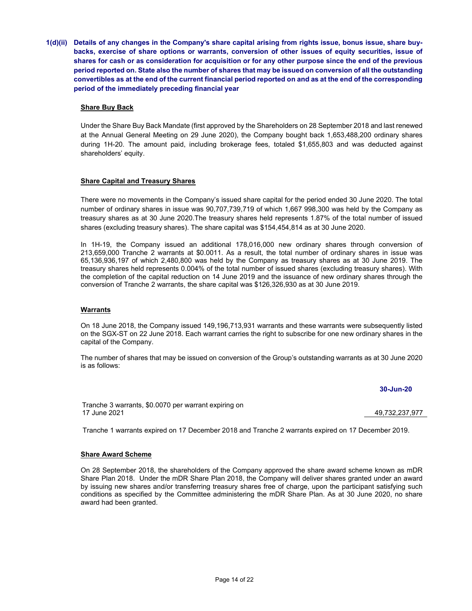1(d)(ii) Details of any changes in the Company's share capital arising from rights issue, bonus issue, share buybacks, exercise of share options or warrants, conversion of other issues of equity securities, issue of shares for cash or as consideration for acquisition or for any other purpose since the end of the previous period reported on. State also the number of shares that may be issued on conversion of all the outstanding convertibles as at the end of the current financial period reported on and as at the end of the corresponding period of the immediately preceding financial year

### Share Buy Back

Under the Share Buy Back Mandate (first approved by the Shareholders on 28 September 2018 and last renewed at the Annual General Meeting on 29 June 2020), the Company bought back 1,653,488,200 ordinary shares during 1H-20. The amount paid, including brokerage fees, totaled \$1,655,803 and was deducted against shareholders' equity.

### Share Capital and Treasury Shares

There were no movements in the Company's issued share capital for the period ended 30 June 2020. The total number of ordinary shares in issue was 90,707,739,719 of which 1,667 998,300 was held by the Company as treasury shares as at 30 June 2020.The treasury shares held represents 1.87% of the total number of issued shares (excluding treasury shares). The share capital was \$154,454,814 as at 30 June 2020.

In 1H-19, the Company issued an additional 178,016,000 new ordinary shares through conversion of 213,659,000 Tranche 2 warrants at \$0.0011. As a result, the total number of ordinary shares in issue was 65,136,936,197 of which 2,480,800 was held by the Company as treasury shares as at 30 June 2019. The treasury shares held represents 0.004% of the total number of issued shares (excluding treasury shares). With the completion of the capital reduction on 14 June 2019 and the issuance of new ordinary shares through the conversion of Tranche 2 warrants, the share capital was \$126,326,930 as at 30 June 2019.

## **Warrants**

On 18 June 2018, the Company issued 149,196,713,931 warrants and these warrants were subsequently listed on the SGX-ST on 22 June 2018. Each warrant carries the right to subscribe for one new ordinary shares in the capital of the Company.

The number of shares that may be issued on conversion of the Group's outstanding warrants as at 30 June 2020 is as follows:

### 30-Jun-20

Tranche 3 warrants, \$0.0070 per warrant expiring on 17 June 2021 49,732,237,977

Tranche 1 warrants expired on 17 December 2018 and Tranche 2 warrants expired on 17 December 2019.

### Share Award Scheme

On 28 September 2018, the shareholders of the Company approved the share award scheme known as mDR Share Plan 2018. Under the mDR Share Plan 2018, the Company will deliver shares granted under an award by issuing new shares and/or transferring treasury shares free of charge, upon the participant satisfying such conditions as specified by the Committee administering the mDR Share Plan. As at 30 June 2020, no share award had been granted.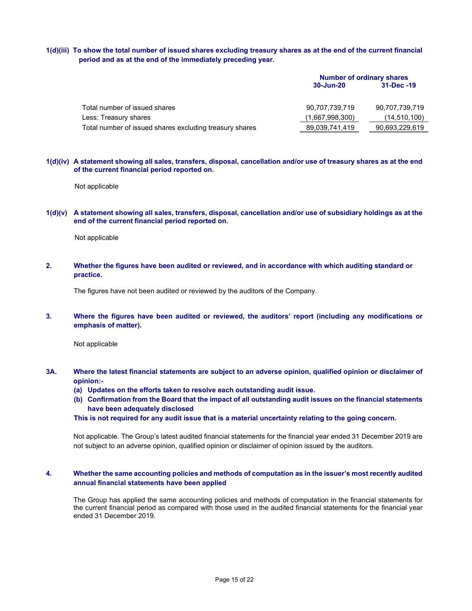## 1(d)(iii) To show the total number of issued shares excluding treasury shares as at the end of the current financial period and as at the end of the immediately preceding year.

|                                                         | <b>Number of ordinary shares</b> |                |  |
|---------------------------------------------------------|----------------------------------|----------------|--|
|                                                         | 30-Jun-20                        | 31-Dec -19     |  |
|                                                         |                                  |                |  |
| Total number of issued shares                           | 90,707,739,719                   | 90,707,739,719 |  |
| Less: Treasury shares                                   | (1,667,998,300)                  | (14, 510, 100) |  |
| Total number of issued shares excluding treasury shares | 89,039,741,419                   | 90,693,229,619 |  |

#### 1(d)(iv) A statement showing all sales, transfers, disposal, cancellation and/or use of treasury shares as at the end of the current financial period reported on.

Not applicable

#### 1(d)(v) A statement showing all sales, transfers, disposal, cancellation and/or use of subsidiary holdings as at the end of the current financial period reported on.

Not applicable

2. Whether the figures have been audited or reviewed, and in accordance with which auditing standard or practice.

The figures have not been audited or reviewed by the auditors of the Company.

3. Where the figures have been audited or reviewed, the auditors' report (including any modifications or emphasis of matter).

Not applicable

- 3A. Where the latest financial statements are subject to an adverse opinion, qualified opinion or disclaimer of opinion:-
	- (a) Updates on the efforts taken to resolve each outstanding audit issue.
	- (b) Confirmation from the Board that the impact of all outstanding audit issues on the financial statements have been adequately disclosed

This is not required for any audit issue that is a material uncertainty relating to the going concern.

Not applicable. The Group's latest audited financial statements for the financial year ended 31 December 2019 are not subject to an adverse opinion, qualified opinion or disclaimer of opinion issued by the auditors.

#### 4. Whether the same accounting policies and methods of computation as in the issuer's most recently audited annual financial statements have been applied

The Group has applied the same accounting policies and methods of computation in the financial statements for the current financial period as compared with those used in the audited financial statements for the financial year ended 31 December 2019.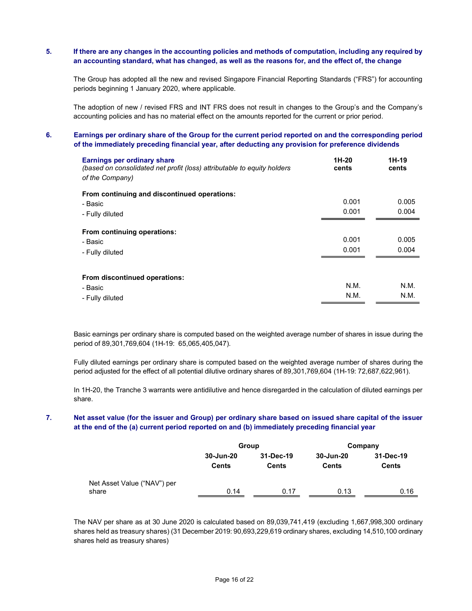## 5. If there are any changes in the accounting policies and methods of computation, including any required by an accounting standard, what has changed, as well as the reasons for, and the effect of, the change

The Group has adopted all the new and revised Singapore Financial Reporting Standards ("FRS") for accounting periods beginning 1 January 2020, where applicable.

The adoption of new / revised FRS and INT FRS does not result in changes to the Group's and the Company's accounting policies and has no material effect on the amounts reported for the current or prior period.

## 6. Earnings per ordinary share of the Group for the current period reported on and the corresponding period of the immediately preceding financial year, after deducting any provision for preference dividends

| <b>Earnings per ordinary share</b><br>(based on consolidated net profit (loss) attributable to equity holders<br>of the Company) | 1H-20<br>cents | 1H-19<br>cents |
|----------------------------------------------------------------------------------------------------------------------------------|----------------|----------------|
| From continuing and discontinued operations:                                                                                     |                |                |
| - Basic                                                                                                                          | 0.001          | 0.005          |
| - Fully diluted                                                                                                                  | 0.001          | 0.004          |
| From continuing operations:                                                                                                      |                |                |
| - Basic                                                                                                                          | 0.001          | 0.005          |
| - Fully diluted                                                                                                                  | 0.001          | 0.004          |
| From discontinued operations:                                                                                                    |                |                |
| - Basic                                                                                                                          | N.M.           | N.M.           |
| - Fully diluted                                                                                                                  | N.M.           | N.M.           |

Basic earnings per ordinary share is computed based on the weighted average number of shares in issue during the period of 89,301,769,604 (1H-19: 65,065,405,047).

Fully diluted earnings per ordinary share is computed based on the weighted average number of shares during the period adjusted for the effect of all potential dilutive ordinary shares of 89,301,769,604 (1H-19: 72,687,622,961).

In 1H-20, the Tranche 3 warrants were antidilutive and hence disregarded in the calculation of diluted earnings per share.

## 7. Net asset value (for the issuer and Group) per ordinary share based on issued share capital of the issuer at the end of the (a) current period reported on and (b) immediately preceding financial year

|                             | Group        |              |              | Company      |
|-----------------------------|--------------|--------------|--------------|--------------|
|                             | 30-Jun-20    | 31-Dec-19    | 30-Jun-20    | 31-Dec-19    |
|                             | <b>Cents</b> | <b>Cents</b> | <b>Cents</b> | <b>Cents</b> |
| Net Asset Value ("NAV") per |              |              |              |              |
| share                       | 0.14         | 0.17         | 0.13         | 0.16         |

The NAV per share as at 30 June 2020 is calculated based on 89,039,741,419 (excluding 1,667,998,300 ordinary shares held as treasury shares) (31 December 2019: 90,693,229,619 ordinary shares, excluding 14,510,100 ordinary shares held as treasury shares)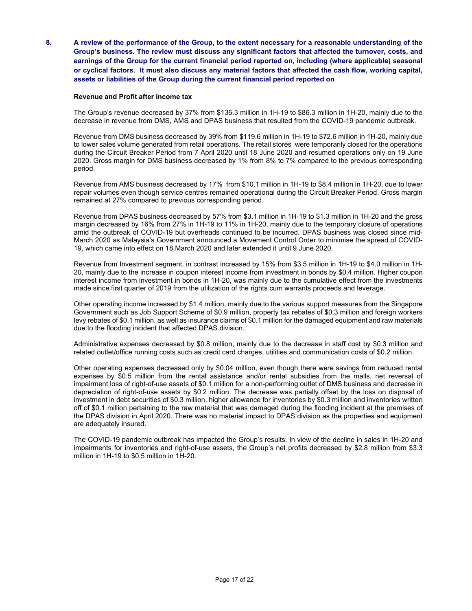8. A review of the performance of the Group, to the extent necessary for a reasonable understanding of the Group's business. The review must discuss any significant factors that affected the turnover, costs, and earnings of the Group for the current financial period reported on, including (where applicable) seasonal or cyclical factors. It must also discuss any material factors that affected the cash flow, working capital, assets or liabilities of the Group during the current financial period reported on

#### Revenue and Profit after income tax

The Group's revenue decreased by 37% from \$136.3 million in 1H-19 to \$86.3 million in 1H-20, mainly due to the decrease in revenue from DMS, AMS and DPAS business that resulted from the COVID-19 pandemic outbreak.

Revenue from DMS business decreased by 39% from \$119.6 million in 1H-19 to \$72.6 million in 1H-20, mainly due to lower sales volume generated from retail operations. The retail stores were temporarily closed for the operations during the Circuit Breaker Period from 7 April 2020 until 18 June 2020 and resumed operations only on 19 June 2020. Gross margin for DMS business decreased by 1% from 8% to 7% compared to the previous corresponding period.

Revenue from AMS business decreased by 17% from \$10.1 million in 1H-19 to \$8.4 million in 1H-20, due to lower repair volumes even though service centres remained operational during the Circuit Breaker Period. Gross margin remained at 27% compared to previous corresponding period.

Revenue from DPAS business decreased by 57% from \$3.1 million in 1H-19 to \$1.3 million in 1H-20 and the gross margin decreased by 16% from 27% in 1H-19 to 11% in 1H-20, mainly due to the temporary closure of operations amid the outbreak of COVID-19 but overheads continued to be incurred. DPAS business was closed since mid-March 2020 as Malaysia's Government announced a Movement Control Order to minimise the spread of COVID-19, which came into effect on 18 March 2020 and later extended it until 9 June 2020.

Revenue from Investment segment, in contrast increased by 15% from \$3.5 million in 1H-19 to \$4.0 million in 1H-20, mainly due to the increase in coupon interest income from investment in bonds by \$0.4 million. Higher coupon interest income from investment in bonds in 1H-20, was mainly due to the cumulative effect from the investments made since first quarter of 2019 from the utilization of the rights cum warrants proceeds and leverage.

Other operating income increased by \$1.4 million, mainly due to the various support measures from the Singapore Government such as Job Support Scheme of \$0.9 million, property tax rebates of \$0.3 million and foreign workers levy rebates of \$0.1 million, as well as insurance claims of \$0.1 million for the damaged equipment and raw materials due to the flooding incident that affected DPAS division.

Administrative expenses decreased by \$0.8 million, mainly due to the decrease in staff cost by \$0.3 million and related outlet/office running costs such as credit card charges, utilities and communication costs of \$0.2 million.

Other operating expenses decreased only by \$0.04 million, even though there were savings from reduced rental expenses by \$0.5 million from the rental assistance and/or rental subsidies from the malls, net reversal of impairment loss of right-of-use assets of \$0.1 million for a non-performing outlet of DMS business and decrease in depreciation of right-of-use assets by \$0.2 million. The decrease was partially offset by the loss on disposal of investment in debt securities of \$0.3 million, higher allowance for inventories by \$0.3 million and inventories written off of \$0.1 million pertaining to the raw material that was damaged during the flooding incident at the premises of the DPAS division in April 2020. There was no material impact to DPAS division as the properties and equipment are adequately insured.

The COVID-19 pandemic outbreak has impacted the Group's results. In view of the decline in sales in 1H-20 and impairments for inventories and right-of-use assets, the Group's net profits decreased by \$2.8 million from \$3.3 million in 1H-19 to \$0.5 million in 1H-20.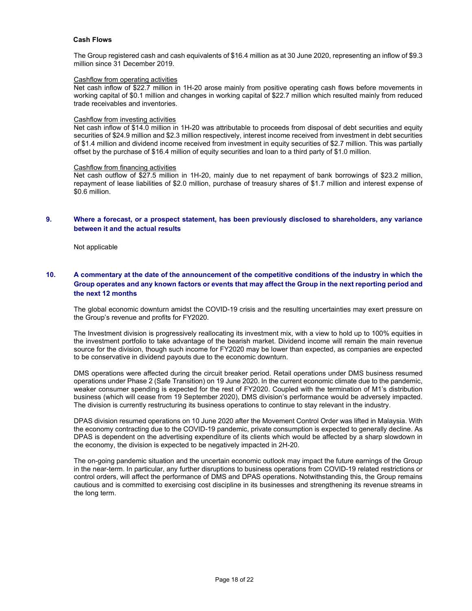#### Cash Flows

The Group registered cash and cash equivalents of \$16.4 million as at 30 June 2020, representing an inflow of \$9.3 million since 31 December 2019.

#### Cashflow from operating activities

Net cash inflow of \$22.7 million in 1H-20 arose mainly from positive operating cash flows before movements in working capital of \$0.1 million and changes in working capital of \$22.7 million which resulted mainly from reduced trade receivables and inventories.

#### Cashflow from investing activities

Net cash inflow of \$14.0 million in 1H-20 was attributable to proceeds from disposal of debt securities and equity securities of \$24.9 million and \$2.3 million respectively, interest income received from investment in debt securities of \$1.4 million and dividend income received from investment in equity securities of \$2.7 million. This was partially offset by the purchase of \$16.4 million of equity securities and loan to a third party of \$1.0 million.

#### Cashflow from financing activities

Net cash outflow of \$27.5 million in 1H-20, mainly due to net repayment of bank borrowings of \$23.2 million, repayment of lease liabilities of \$2.0 million, purchase of treasury shares of \$1.7 million and interest expense of \$0.6 million.

### 9. Where a forecast, or a prospect statement, has been previously disclosed to shareholders, any variance between it and the actual results

Not applicable

## 10. A commentary at the date of the announcement of the competitive conditions of the industry in which the Group operates and any known factors or events that may affect the Group in the next reporting period and the next 12 months

The global economic downturn amidst the COVID-19 crisis and the resulting uncertainties may exert pressure on the Group's revenue and profits for FY2020.

The Investment division is progressively reallocating its investment mix, with a view to hold up to 100% equities in the investment portfolio to take advantage of the bearish market. Dividend income will remain the main revenue source for the division, though such income for FY2020 may be lower than expected, as companies are expected to be conservative in dividend payouts due to the economic downturn.

DMS operations were affected during the circuit breaker period. Retail operations under DMS business resumed operations under Phase 2 (Safe Transition) on 19 June 2020. In the current economic climate due to the pandemic, weaker consumer spending is expected for the rest of FY2020. Coupled with the termination of M1's distribution business (which will cease from 19 September 2020), DMS division's performance would be adversely impacted. The division is currently restructuring its business operations to continue to stay relevant in the industry.

DPAS division resumed operations on 10 June 2020 after the Movement Control Order was lifted in Malaysia. With the economy contracting due to the COVID-19 pandemic, private consumption is expected to generally decline. As DPAS is dependent on the advertising expenditure of its clients which would be affected by a sharp slowdown in the economy, the division is expected to be negatively impacted in 2H-20.

The on-going pandemic situation and the uncertain economic outlook may impact the future earnings of the Group in the near-term. In particular, any further disruptions to business operations from COVID-19 related restrictions or control orders, will affect the performance of DMS and DPAS operations. Notwithstanding this, the Group remains cautious and is committed to exercising cost discipline in its businesses and strengthening its revenue streams in the long term.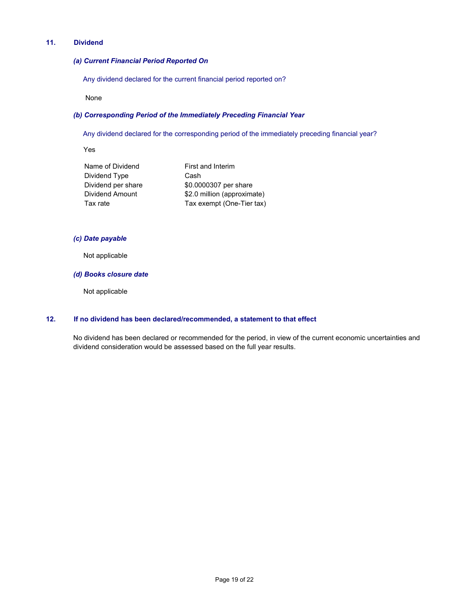## 11. Dividend

### (a) Current Financial Period Reported On

Any dividend declared for the current financial period reported on?

None

# (b) Corresponding Period of the Immediately Preceding Financial Year

Any dividend declared for the corresponding period of the immediately preceding financial year?

Yes

| First and Interim           |
|-----------------------------|
| Cash                        |
| \$0.0000307 per share       |
| \$2.0 million (approximate) |
| Tax exempt (One-Tier tax)   |
|                             |

## (c) Date payable

Not applicable

#### (d) Books closure date

Not applicable

## 12. If no dividend has been declared/recommended, a statement to that effect

No dividend has been declared or recommended for the period, in view of the current economic uncertainties and dividend consideration would be assessed based on the full year results.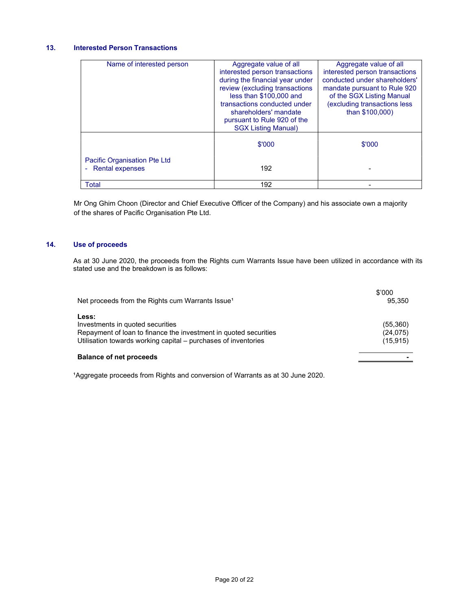# 13. Interested Person Transactions

| Name of interested person                                                       | Aggregate value of all<br>interested person transactions<br>during the financial year under<br>review (excluding transactions<br>less than \$100,000 and<br>transactions conducted under<br>shareholders' mandate<br>pursuant to Rule 920 of the<br><b>SGX Listing Manual)</b> | Aggregate value of all<br>interested person transactions<br>conducted under shareholders'<br>mandate pursuant to Rule 920<br>of the SGX Listing Manual<br>(excluding transactions less<br>than \$100,000) |
|---------------------------------------------------------------------------------|--------------------------------------------------------------------------------------------------------------------------------------------------------------------------------------------------------------------------------------------------------------------------------|-----------------------------------------------------------------------------------------------------------------------------------------------------------------------------------------------------------|
|                                                                                 | \$'000                                                                                                                                                                                                                                                                         | \$'000                                                                                                                                                                                                    |
| <b>Pacific Organisation Pte Ltd</b><br><b>Rental expenses</b><br>$\blacksquare$ | 192                                                                                                                                                                                                                                                                            |                                                                                                                                                                                                           |
| <b>Total</b>                                                                    | 192                                                                                                                                                                                                                                                                            |                                                                                                                                                                                                           |

Mr Ong Ghim Choon (Director and Chief Executive Officer of the Company) and his associate own a majority of the shares of Pacific Organisation Pte Ltd.

## 14. Use of proceeds

 As at 30 June 2020, the proceeds from the Rights cum Warrants Issue have been utilized in accordance with its stated use and the breakdown is as follows:

| Net proceeds from the Rights cum Warrants Issue <sup>1</sup>                                                                                                                    | \$'000<br>95.350                   |
|---------------------------------------------------------------------------------------------------------------------------------------------------------------------------------|------------------------------------|
| Less:<br>Investments in quoted securities<br>Repayment of loan to finance the investment in quoted securities<br>Utilisation towards working capital - purchases of inventories | (55,360)<br>(24, 075)<br>(15, 915) |
| <b>Balance of net proceeds</b>                                                                                                                                                  |                                    |

<sup>1</sup>Aggregate proceeds from Rights and conversion of Warrants as at 30 June 2020.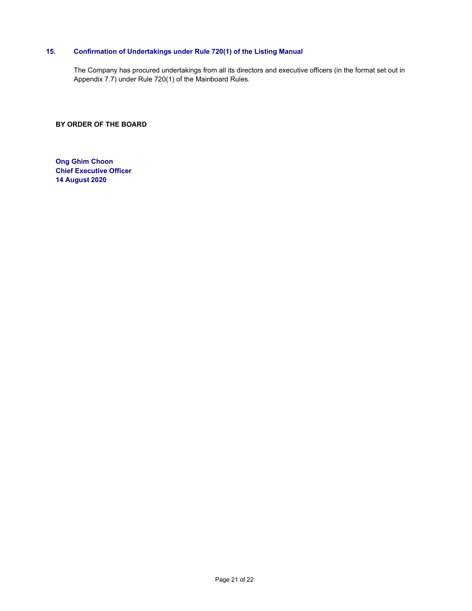# 15. Confirmation of Undertakings under Rule 720(1) of the Listing Manual

The Company has procured undertakings from all its directors and executive officers (in the format set out in Appendix 7.7) under Rule 720(1) of the Mainboard Rules.

BY ORDER OF THE BOARD

Ong Ghim Choon Chief Executive Officer 14 August 2020